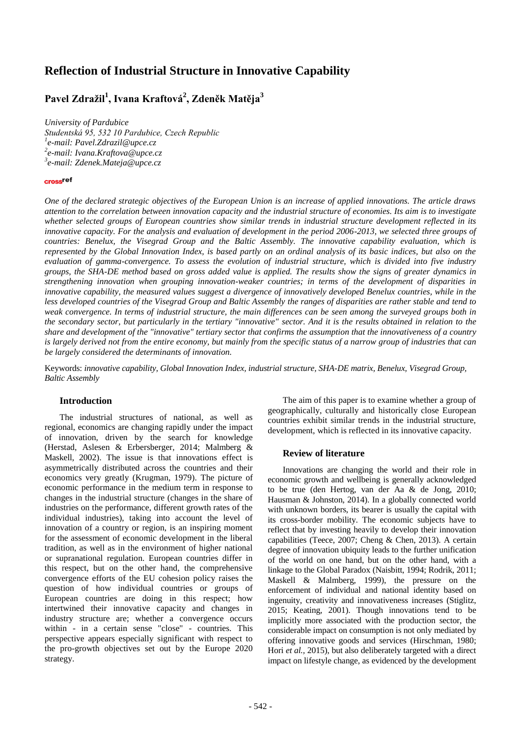# **Reflection of Industrial Structure in Innovative Capability**

## **Pavel Zdražil<sup>1</sup> , Ivana Kraftová<sup>2</sup> , Zdeněk Matěja<sup>3</sup>**

*University of Pardubice Studentská 95, 532 10 Pardubice, Czech Republic 1 e-mail[: Pavel.Zdrazil@upce.cz](mailto:Pavel.Zdrazil@upce.cz) 2 e-mail[: Ivana.Kraftova@upce.cz](mailto:Ivana.Kraftova@upce.cz) 3 e-mail: Zdenek.Mateja@upce.cz*

#### crossref

*One of the declared strategic objectives of the European Union is an increase of applied innovations. The article draws attention to the correlation between innovation capacity and the industrial structure of economies. Its aim is to investigate whether selected groups of European countries show similar trends in industrial structure development reflected in its innovative capacity. For the analysis and evaluation of development in the period 2006-2013, we selected three groups of countries: Benelux, the Visegrad Group and the Baltic Assembly. The innovative capability evaluation, which is represented by the Global Innovation Index, is based partly on an ordinal analysis of its basic indices, but also on the evaluation of gamma-convergence. To assess the evolution of industrial structure, which is divided into five industry groups, the SHA-DE method based on gross added value is applied. The results show the signs of greater dynamics in strengthening innovation when grouping innovation-weaker countries; in terms of the development of disparities in innovative capability, the measured values suggest a divergence of innovatively developed Benelux countries, while in the less developed countries of the Visegrad Group and Baltic Assembly the ranges of disparities are rather stable and tend to weak convergence. In terms of industrial structure, the main differences can be seen among the surveyed groups both in the secondary sector, but particularly in the tertiary "innovative" sector. And it is the results obtained in relation to the share and development of the "innovative" tertiary sector that confirms the assumption that the innovativeness of a country is largely derived not from the entire economy, but mainly from the specific status of a narrow group of industries that can be largely considered the determinants of innovation.*

Keywords: *innovative capability, Global Innovation Index, industrial structure, SHA-DE matrix, Benelux, Visegrad Group, Baltic Assembly*

## **Introduction**

The industrial structures of national, as well as regional, economics are changing rapidly under the impact of innovation, driven by the search for knowledge (Herstad, Aslesen & Erbersberger, 2014; Malmberg & Maskell, 2002). The issue is that innovations effect is asymmetrically distributed across the countries and their economics very greatly (Krugman, 1979). The picture of economic performance in the medium term in response to changes in the industrial structure (changes in the share of industries on the performance, different growth rates of the individual industries), taking into account the level of innovation of a country or region, is an inspiring moment for the assessment of economic development in the liberal tradition, as well as in the environment of higher national or supranational regulation. European countries differ in this respect, but on the other hand, the comprehensive convergence efforts of the EU cohesion policy raises the question of how individual countries or groups of European countries are doing in this respect; how intertwined their innovative capacity and changes in industry structure are; whether a convergence occurs within - in a certain sense "close" - countries. This perspective appears especially significant with respect to the pro-growth objectives set out by the Europe 2020 strategy.

The aim of this paper is to examine whether a group of geographically, culturally and historically close European countries exhibit similar trends in the industrial structure, development, which is reflected in its innovative capacity.

### **Review of literature**

Innovations are changing the world and their role in economic growth and wellbeing is generally acknowledged to be true (den Hertog, van der Aa & de Jong, 2010; Hausman & Johnston, 2014). In a globally connected world with unknown borders, its bearer is usually the capital with its cross-border mobility. The economic subjects have to reflect that by investing heavily to develop their innovation capabilities (Teece, 2007; Cheng & Chen, 2013). A certain degree of innovation ubiquity leads to the further unification of the world on one hand, but on the other hand, with a linkage to the Global Paradox (Naisbitt, 1994; Rodrik, 2011; Maskell & Malmberg, 1999), the pressure on the enforcement of individual and national identity based on ingenuity, creativity and innovativeness increases (Stiglitz, 2015; Keating, 2001). Though innovations tend to be implicitly more associated with the production sector, the considerable impact on consumption is not only mediated by offering innovative goods and services (Hirschman, 1980; Hori *et al.,* 2015), but also deliberately targeted with a direct impact on lifestyle change, as evidenced by the development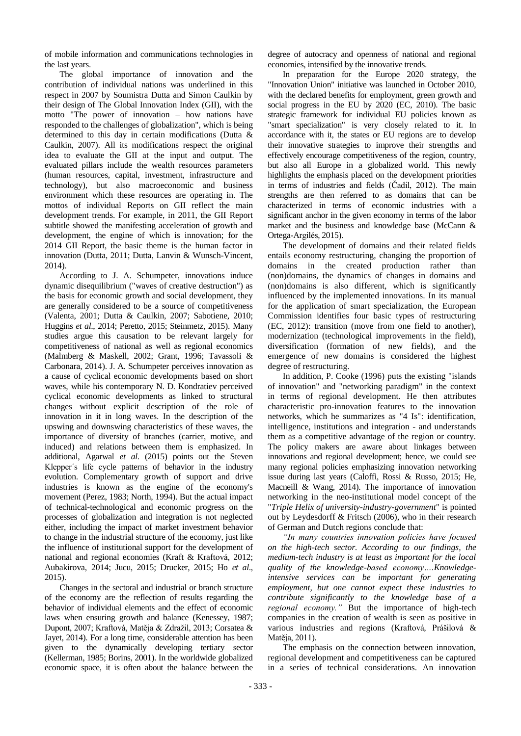of mobile information and communications technologies in the last years.

The global importance of innovation and the contribution of individual nations was underlined in this respect in 2007 by Soumistra Dutta and Simon Caulkin by their design of The Global Innovation Index (GII), with the motto "The power of innovation – how nations have responded to the challenges of globalization", which is being determined to this day in certain modifications (Dutta & Caulkin, 2007). All its modifications respect the original idea to evaluate the GII at the input and output. The evaluated pillars include the wealth resources parameters (human resources, capital, investment, infrastructure and technology), but also macroeconomic and business environment which these resources are operating in. The mottos of individual Reports on GII reflect the main development trends. For example, in 2011, the GII Report subtitle showed the manifesting acceleration of growth and development, the engine of which is innovation; for the 2014 GII Report, the basic theme is the human factor in innovation (Dutta, 2011; Dutta, Lanvin & Wunsch-Vincent, 2014).

According to J. A. Schumpeter, innovations induce dynamic disequilibrium ("waves of creative destruction") as the basis for economic growth and social development, they are generally considered to be a source of competitiveness (Valenta, 2001; Dutta & Caulkin, 2007; Sabotiene, 2010; Huggins *et al*., 2014; Peretto, 2015; Steinmetz, 2015). Many studies argue this causation to be relevant largely for competitiveness of national as well as regional economics (Malmberg & Maskell, 2002; Grant, 1996; Tavassoli & Carbonara, 2014). J. A. Schumpeter perceives innovation as a cause of cyclical economic developments based on short waves, while his contemporary N. D. Kondratiev perceived cyclical economic developments as linked to structural changes without explicit description of the role of innovation in it in long waves. In the description of the upswing and downswing characteristics of these waves, the importance of diversity of branches (carrier, motive, and induced) and relations between them is emphasized. In additional, Agarwal *et al*. (2015) points out the Steven Klepper´s life cycle patterns of behavior in the industry evolution. Complementary growth of support and drive industries is known as the engine of the economy's movement (Perez, 1983; North, 1994). But the actual impact of technical-technological and economic progress on the processes of globalization and integration is not neglected either, including the impact of market investment behavior to change in the industrial structure of the economy, just like the influence of institutional support for the development of national and regional economies (Kraft & Kraftová, 2012; Aubakirova, 2014; Jucu, 2015; Drucker, 2015; Ho *et al*., 2015).

Changes in the sectoral and industrial or branch structure of the economy are the reflection of results regarding the behavior of individual elements and the effect of economic laws when ensuring growth and balance (Kenessey, 1987; Dupont, 2007; Kraftová, Matěja & Zdražil, 2013; Corsatea & Jayet, 2014). For a long time, considerable attention has been given to the dynamically developing tertiary sector (Kellerman, 1985; Borins, 2001). In the worldwide globalized economic space, it is often about the balance between the

degree of autocracy and openness of national and regional economies, intensified by the innovative trends.

In preparation for the Europe 2020 strategy, the "Innovation Union" initiative was launched in October 2010, with the declared benefits for employment, green growth and social progress in the EU by 2020 (EC, 2010). The basic strategic framework for individual EU policies known as "smart specialization" is very closely related to it. In accordance with it, the states or EU regions are to develop their innovative strategies to improve their strengths and effectively encourage competitiveness of the region, country, but also all Europe in a globalized world. This newly highlights the emphasis placed on the development priorities in terms of industries and fields (Čadil, 2012). The main strengths are then referred to as domains that can be characterized in terms of economic industries with a significant anchor in the given economy in terms of the labor market and the business and knowledge base (McCann & Ortega-Argilés, 2015).

The development of domains and their related fields entails economy restructuring, changing the proportion of domains in the created production rather than (non)domains, the dynamics of changes in domains and (non)domains is also different, which is significantly influenced by the implemented innovations. In its manual for the application of smart specialization, the European Commission identifies four basic types of restructuring (EC, 2012): transition (move from one field to another), modernization (technological improvements in the field), diversification (formation of new fields), and the emergence of new domains is considered the highest degree of restructuring.

In addition, P. Cooke (1996) puts the existing "islands of innovation" and "networking paradigm" in the context in terms of regional development. He then attributes characteristic pro-innovation features to the innovation networks, which he summarizes as "4 Is": identification, intelligence, institutions and integration - and understands them as a competitive advantage of the region or country. The policy makers are aware about linkages between innovations and regional development; hence, we could see many regional policies emphasizing innovation networking issue during last years (Caloffi, Rossi & Russo, 2015; He, Macneill & Wang, 2014). The importance of innovation networking in the neo-institutional model concept of the "*Triple Helix of university-industry-government*" is pointed out by Leydesdorff & Fritsch (2006), who in their research of German and Dutch regions conclude that:

*"In many countries innovation policies have focused on the high-tech sector. According to our findings, the medium-tech industry is at least as important for the local quality of the knowledge-based economy….Knowledgeintensive services can be important for generating employment, but one cannot expect these industries to contribute significantly to the knowledge base of a regional economy."* But the importance of high-tech companies in the creation of wealth is seen as positive in various industries and regions (Kraftová, Prášilová & Matěja, 2011).

The emphasis on the connection between innovation, regional development and competitiveness can be captured in a series of technical considerations. An innovation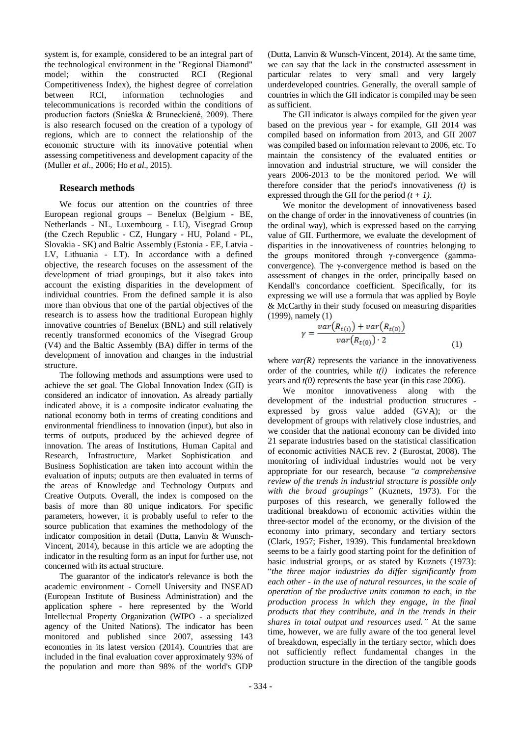system is, for example, considered to be an integral part of the technological environment in the "Regional Diamond" model; within the constructed RCI (Regional Competitiveness Index), the highest degree of correlation between RCI, information technologies and telecommunications is recorded within the conditions of production factors (Snieška & Bruneckiené, 2009). There is also research focused on the creation of a typology of regions, which are to connect the relationship of the economic structure with its innovative potential when assessing competitiveness and development capacity of the (Muller *et al*., 2006; Ho *et al*., 2015).

## **Research methods**

We focus our attention on the countries of three European regional groups – Benelux (Belgium - BE, Netherlands - NL, Luxembourg - LU), Visegrad Group (the Czech Republic - CZ, Hungary - HU, Poland - PL, Slovakia - SK) and Baltic Assembly (Estonia - EE, Latvia - LV, Lithuania - LT). In accordance with a defined objective, the research focuses on the assessment of the development of triad groupings, but it also takes into account the existing disparities in the development of individual countries. From the defined sample it is also more than obvious that one of the partial objectives of the research is to assess how the traditional European highly innovative countries of Benelux (BNL) and still relatively recently transformed economics of the Visegrad Group (V4) and the Baltic Assembly (BA) differ in terms of the development of innovation and changes in the industrial structure.

The following methods and assumptions were used to achieve the set goal. The Global Innovation Index (GII) is considered an indicator of innovation. As already partially indicated above, it is a composite indicator evaluating the national economy both in terms of creating conditions and environmental friendliness to innovation (input), but also in terms of outputs, produced by the achieved degree of innovation. The areas of Institutions, Human Capital and Research, Infrastructure, Market Sophistication and Business Sophistication are taken into account within the evaluation of inputs; outputs are then evaluated in terms of the areas of Knowledge and Technology Outputs and Creative Outputs. Overall, the index is composed on the basis of more than 80 unique indicators. For specific parameters, however, it is probably useful to refer to the source publication that examines the methodology of the indicator composition in detail (Dutta, Lanvin & Wunsch-Vincent, 2014), because in this article we are adopting the indicator in the resulting form as an input for further use, not concerned with its actual structure.

The guarantor of the indicator's relevance is both the academic environment - Cornell University and INSEAD (European Institute of Business Administration) and the application sphere - here represented by the World Intellectual Property Organization (WIPO - a specialized agency of the United Nations). The indicator has been monitored and published since 2007, assessing 143 economies in its latest version (2014). Countries that are included in the final evaluation cover approximately 93% of the population and more than 98% of the world's GDP (Dutta, Lanvin & Wunsch-Vincent, 2014). At the same time, we can say that the lack in the constructed assessment in particular relates to very small and very largely underdeveloped countries. Generally, the overall sample of countries in which the GII indicator is compiled may be seen as sufficient.

The GII indicator is always compiled for the given year based on the previous year - for example, GII 2014 was compiled based on information from 2013, and GII 2007 was compiled based on information relevant to 2006, etc. To maintain the consistency of the evaluated entities or innovation and industrial structure, we will consider the years 2006-2013 to be the monitored period. We will therefore consider that the period's innovativeness *(t)* is expressed through the GII for the period *(t + 1)*.

We monitor the development of innovativeness based on the change of order in the innovativeness of countries (in the ordinal way), which is expressed based on the carrying value of GII. Furthermore, we evaluate the development of disparities in the innovativeness of countries belonging to the groups monitored through γ-convergence (gammaconvergence). The γ-convergence method is based on the assessment of changes in the order, principally based on Kendall's concordance coefficient. Specifically, for its expressing we will use a formula that was applied by Boyle & McCarthy in their study focused on measuring disparities (1999), namely (1)

$$
\gamma = \frac{var(R_{t(i)}) + var(R_{t(0)})}{var(R_{t(0)}) \cdot 2} \tag{1}
$$

where  $var(R)$  represents the variance in the innovativeness order of the countries, while *t(i)* indicates the reference years and *t(0)* represents the base year (in this case 2006).

We monitor innovativeness along with the development of the industrial production structures expressed by gross value added (GVA); or the development of groups with relatively close industries, and we consider that the national economy can be divided into 21 separate industries based on the statistical classification of economic activities NACE rev. 2 (Eurostat, 2008). The monitoring of individual industries would not be very appropriate for our research, because *"a comprehensive review of the trends in industrial structure is possible only with the broad groupings"* (Kuznets, 1973). For the purposes of this research, we generally followed the traditional breakdown of economic activities within the three-sector model of the economy, or the division of the economy into primary, secondary and tertiary sectors (Clark, 1957; Fisher, 1939). This fundamental breakdown seems to be a fairly good starting point for the definition of basic industrial groups, or as stated by Kuznets (1973): "*the three major industries do differ significantly from each other - in the use of natural resources, in the scale of operation of the productive units common to each, in the production process in which they engage, in the final products that they contribute, and in the trends in their shares in total output and resources used."* At the same time, however, we are fully aware of the too general level of breakdown, especially in the tertiary sector, which does not sufficiently reflect fundamental changes in the production structure in the direction of the tangible goods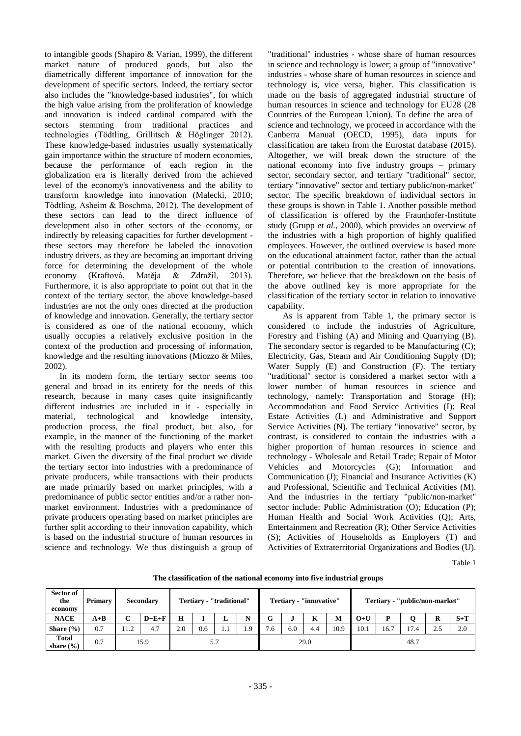to intangible goods (Shapiro & Varian, 1999), the different market nature of produced goods, but also the diametrically different importance of innovation for the development of specific sectors. Indeed, the tertiary sector also includes the "knowledge-based industries", for which the high value arising from the proliferation of knowledge and innovation is indeed cardinal compared with the sectors stemming from traditional practices and technologies (Tödtling, Grillitsch & Höglinger 2012). These knowledge-based industries usually systematically gain importance within the structure of modern economies, because the performance of each region in the globalization era is literally derived from the achieved level of the economy's innovativeness and the ability to transform knowledge into innovation (Malecki, 2010; Tödtling, Asheim & Boschma, 2012). The development of these sectors can lead to the direct influence of development also in other sectors of the economy, or indirectly by releasing capacities for further development these sectors may therefore be labeled the innovation industry drivers, as they are becoming an important driving force for determining the development of the whole economy (Kraftová, Matěja & Zdražil, 2013). Furthermore, it is also appropriate to point out that in the context of the tertiary sector, the above knowledge-based industries are not the only ones directed at the production of knowledge and innovation. Generally, the tertiary sector is considered as one of the national economy, which usually occupies a relatively exclusive position in the context of the production and processing of information, knowledge and the resulting innovations (Miozzo & Miles, 2002).

In its modern form, the tertiary sector seems too general and broad in its entirety for the needs of this research, because in many cases quite insignificantly different industries are included in it - especially in material, technological and knowledge intensity, production process, the final product, but also, for example, in the manner of the functioning of the market with the resulting products and players who enter this market. Given the diversity of the final product we divide the tertiary sector into industries with a predominance of private producers, while transactions with their products are made primarily based on market principles, with a predominance of public sector entities and/or a rather nonmarket environment. Industries with a predominance of private producers operating based on market principles are further split according to their innovation capability, which is based on the industrial structure of human resources in science and technology. We thus distinguish a group of

"traditional" industries - whose share of human resources in science and technology is lower; a group of "innovative" industries - whose share of human resources in science and technology is, vice versa, higher. This classification is made on the basis of aggregated industrial structure of human resources in science and technology for EU28 (28 Countries of the European Union). To define the area of science and technology, we proceed in accordance with the Canberra Manual (OECD, 1995), data inputs for classification are taken from the Eurostat database (2015). Altogether, we will break down the structure of the national economy into five industry groups – primary sector, secondary sector, and tertiary "traditional" sector, tertiary "innovative" sector and tertiary public/non-market" sector. The specific breakdown of individual sectors in these groups is shown in Table 1. Another possible method of classification is offered by the Fraunhofer-Institute study (Grupp *et al.*, 2000), which provides an overview of the industries with a high proportion of highly qualified employees. However, the outlined overview is based more on the educational attainment factor, rather than the actual or potential contribution to the creation of innovations. Therefore, we believe that the breakdown on the basis of the above outlined key is more appropriate for the classification of the tertiary sector in relation to innovative capability.

As is apparent from Table 1, the primary sector is considered to include the industries of Agriculture, Forestry and Fishing (A) and Mining and Quarrying (B). The secondary sector is regarded to be Manufacturing (C); Electricity, Gas, Steam and Air Conditioning Supply (D); Water Supply (E) and Construction (F). The tertiary "traditional" sector is considered a market sector with a lower number of human resources in science and technology, namely: Transportation and Storage (H); Accommodation and Food Service Activities (I); Real Estate Activities (L) and Administrative and Support Service Activities  $(N)$ . The tertiary "innovative" sector, by contrast, is considered to contain the industries with a higher proportion of human resources in science and technology - Wholesale and Retail Trade; Repair of Motor Vehicles and Motorcycles (G); Information and Communication (J); Financial and Insurance Activities (K) and Professional, Scientific and Technical Activities (M). And the industries in the tertiary "public/non-market" sector include: Public Administration (O); Education (P); Human Health and Social Work Activities (Q); Arts, Entertainment and Recreation (R); Other Service Activities (S); Activities of Households as Employers (T) and Activities of Extraterritorial Organizations and Bodies (U).

Table 1

| Sector of<br>the<br>economy | <b>Primary</b> |      | <b>Secondary</b> | Tertiary - "traditional" |     |     | Tertiary - "innovative" |         |     |      | Tertiary - "public/non-market" |       |      |      |     |       |
|-----------------------------|----------------|------|------------------|--------------------------|-----|-----|-------------------------|---------|-----|------|--------------------------------|-------|------|------|-----|-------|
| <b>NACE</b>                 | $A+B$          | С    | $D+E+F$          | н                        |     | ≖   |                         | G       |     | K    | M                              | $O+U$ |      |      | R   | $S+T$ |
| Share $(\% )$               | 0.7            | 11.2 | 4.7              | 2.0                      | 0.6 | 1.1 | $\Omega$                | -<br>6. | 6.0 | 4.4  | 10.9                           | 10.1  | 16.7 | 17.4 | 2.5 | 2.0   |
| Total<br>share $(\% )$      | 0.7            | 15.9 |                  | 5.7                      |     |     | 29.0                    |         |     | 48.7 |                                |       |      |      |     |       |

**The classification of the national economy into five industrial groups**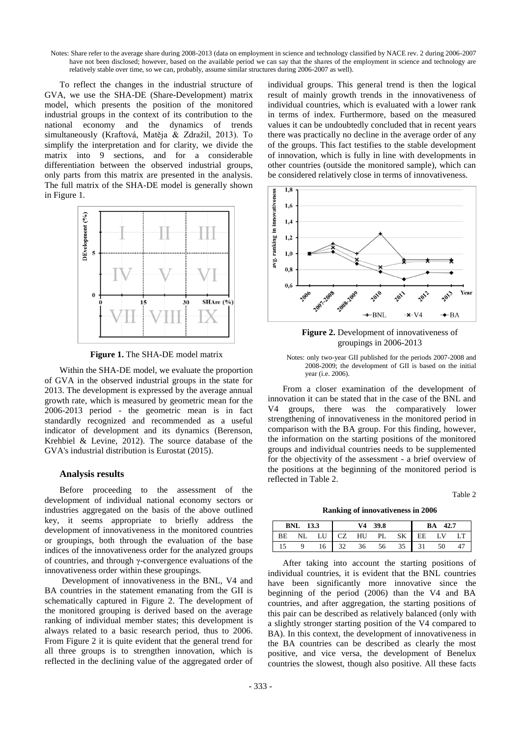Notes: Share refer to the average share during 2008-2013 (data on employment in science and technology classified by NACE rev. 2 during 2006-2007 have not been disclosed; however, based on the available period we can say that the shares of the employment in science and technology are relatively stable over time, so we can, probably, assume similar structures during 2006-2007 as well).

To reflect the changes in the industrial structure of GVA, we use the SHA-DE (Share-Development) matrix model, which presents the position of the monitored industrial groups in the context of its contribution to the national economy and the dynamics of trends simultaneously (Kraftová, Matěja & Zdražil, 2013). To simplify the interpretation and for clarity, we divide the matrix into 9 sections, and for a considerable differentiation between the observed industrial groups, only parts from this matrix are presented in the analysis. The full matrix of the SHA-DE model is generally shown in Figure 1.



**Figure 1.** The SHA-DE model matrix

Within the SHA-DE model, we evaluate the proportion of GVA in the observed industrial groups in the state for 2013. The development is expressed by the average annual growth rate, which is measured by geometric mean for the 2006-2013 period - the geometric mean is in fact standardly recognized and recommended as a useful indicator of development and its dynamics (Berenson, Krehbiel & Levine, 2012). The source database of the GVA's industrial distribution is Eurostat (2015).

#### **Analysis results**

Before proceeding to the assessment of the development of individual national economy sectors or industries aggregated on the basis of the above outlined key, it seems appropriate to briefly address the development of innovativeness in the monitored countries or groupings, both through the evaluation of the base indices of the innovativeness order for the analyzed groups of countries, and through γ-convergence evaluations of the innovativeness order within these groupings.

Development of innovativeness in the BNL, V4 and BA countries in the statement emanating from the GII is schematically captured in Figure 2. The development of the monitored grouping is derived based on the average ranking of individual member states; this development is always related to a basic research period, thus to 2006. From Figure 2 it is quite evident that the general trend for all three groups is to strengthen innovation, which is reflected in the declining value of the aggregated order of individual groups. This general trend is then the logical result of mainly growth trends in the innovativeness of individual countries, which is evaluated with a lower rank in terms of index. Furthermore, based on the measured values it can be undoubtedly concluded that in recent years there was practically no decline in the average order of any of the groups. This fact testifies to the stable development of innovation, which is fully in line with developments in other countries (outside the monitored sample), which can be considered relatively close in terms of innovativeness.



**Figure 2.** Development of innovativeness of groupings in 2006-2013

Notes: only two-year GII published for the periods 2007-2008 and 2008-2009; the development of GII is based on the initial year (i.e. 2006).

From a closer examination of the development of innovation it can be stated that in the case of the BNL and V4 groups, there was the comparatively lower strengthening of innovativeness in the monitored period in comparison with the BA group. For this finding, however, the information on the starting positions of the monitored groups and individual countries needs to be supplemented for the objectivity of the assessment - a brief overview of the positions at the beginning of the monitored period is reflected in Table 2.

Table 2

**Ranking of innovativeness in 2006**

|    | BNL | 13.3 |             | V4 | 39.8 | 42.7<br>BA |    |    |  |
|----|-----|------|-------------|----|------|------------|----|----|--|
| ВE | NL  | LU   | CZ<br>- 1 - | HU | PL   | SK         | EE | LV |  |
|    |     | 16   |             | 36 |      | 35         | 31 | 50 |  |

After taking into account the starting positions of individual countries, it is evident that the BNL countries have been significantly more innovative since the beginning of the period (2006) than the V4 and BA countries, and after aggregation, the starting positions of this pair can be described as relatively balanced (only with a slightly stronger starting position of the V4 compared to BA). In this context, the development of innovativeness in the BA countries can be described as clearly the most positive, and vice versa, the development of Benelux countries the slowest, though also positive. All these facts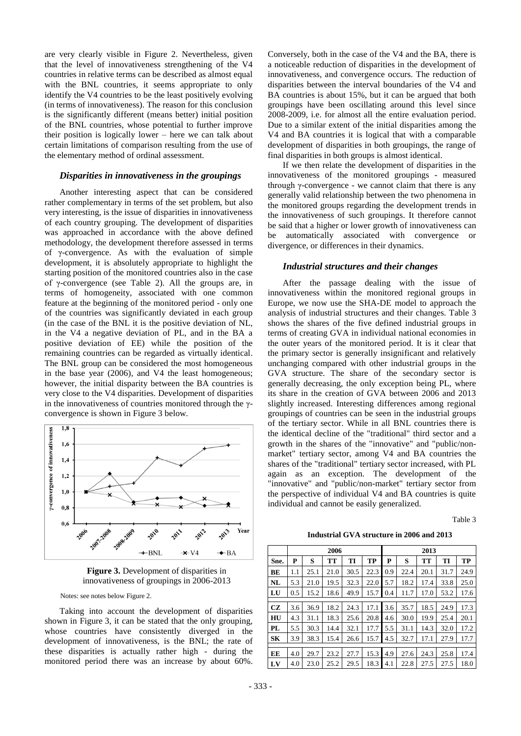are very clearly visible in Figure 2. Nevertheless, given that the level of innovativeness strengthening of the V4 countries in relative terms can be described as almost equal with the BNL countries, it seems appropriate to only identify the V4 countries to be the least positively evolving (in terms of innovativeness). The reason for this conclusion is the significantly different (means better) initial position of the BNL countries, whose potential to further improve their position is logically lower – here we can talk about certain limitations of comparison resulting from the use of the elementary method of ordinal assessment.

#### *Disparities in innovativeness in the groupings*

Another interesting aspect that can be considered rather complementary in terms of the set problem, but also very interesting, is the issue of disparities in innovativeness of each country grouping. The development of disparities was approached in accordance with the above defined methodology, the development therefore assessed in terms of γ-convergence. As with the evaluation of simple development, it is absolutely appropriate to highlight the starting position of the monitored countries also in the case of γ-convergence (see Table 2). All the groups are, in terms of homogeneity, associated with one common feature at the beginning of the monitored period - only one of the countries was significantly deviated in each group (in the case of the BNL it is the positive deviation of NL, in the V4 a negative deviation of PL, and in the BA a positive deviation of EE) while the position of the remaining countries can be regarded as virtually identical. The BNL group can be considered the most homogeneous in the base year (2006), and V4 the least homogeneous; however, the initial disparity between the BA countries is very close to the V4 disparities. Development of disparities in the innovativeness of countries monitored through the  $\gamma$ convergence is shown in Figure 3 below.



**Figure 3.** Development of disparities in innovativeness of groupings in 2006-2013

Notes: see notes below Figure 2.

Taking into account the development of disparities shown in Figure 3, it can be stated that the only grouping, whose countries have consistently diverged in the development of innovativeness, is the BNL; the rate of these disparities is actually rather high - during the monitored period there was an increase by about 60%. Conversely, both in the case of the V4 and the BA, there is a noticeable reduction of disparities in the development of innovativeness, and convergence occurs. The reduction of disparities between the interval boundaries of the V4 and BA countries is about 15%, but it can be argued that both groupings have been oscillating around this level since 2008-2009, i.e. for almost all the entire evaluation period. Due to a similar extent of the initial disparities among the V4 and BA countries it is logical that with a comparable development of disparities in both groupings, the range of final disparities in both groups is almost identical.

If we then relate the development of disparities in the innovativeness of the monitored groupings - measured through γ-convergence - we cannot claim that there is any generally valid relationship between the two phenomena in the monitored groups regarding the development trends in the innovativeness of such groupings. It therefore cannot be said that a higher or lower growth of innovativeness can be automatically associated with convergence or divergence, or differences in their dynamics.

#### *Industrial structures and their changes*

After the passage dealing with the issue of innovativeness within the monitored regional groups in Europe, we now use the SHA-DE model to approach the analysis of industrial structures and their changes. Table 3 shows the shares of the five defined industrial groups in terms of creating GVA in individual national economies in the outer years of the monitored period. It is it clear that the primary sector is generally insignificant and relatively unchanging compared with other industrial groups in the GVA structure. The share of the secondary sector is generally decreasing, the only exception being PL, where its share in the creation of GVA between 2006 and 2013 slightly increased. Interesting differences among regional groupings of countries can be seen in the industrial groups of the tertiary sector. While in all BNL countries there is the identical decline of the "traditional" third sector and a growth in the shares of the "innovative" and "public/nonmarket" tertiary sector, among V4 and BA countries the shares of the "traditional" tertiary sector increased, with PL again as an exception. The development of the "innovative" and "public/non-market" tertiary sector from the perspective of individual V4 and BA countries is quite individual and cannot be easily generalized.

Table 3

**Industrial GVA structure in 2006 and 2013**

|           |     |      | 2006 |      |      | 2013 |      |      |      |      |  |
|-----------|-----|------|------|------|------|------|------|------|------|------|--|
| Sne.      | P   | S    | TT   | TI   | TP   | P    | S    | TT   | TI   | TP   |  |
| BЕ        | 1.1 | 25.1 | 21.0 | 30.5 | 22.3 | 0.9  | 22.4 | 20.1 | 31.7 | 24.9 |  |
| NL        | 5.3 | 21.0 | 19.5 | 32.3 | 22.0 | 5.7  | 18.2 | 17.4 | 33.8 | 25.0 |  |
| LU        | 0.5 | 15.2 | 18.6 | 49.9 | 15.7 | 0.4  | 11.7 | 17.0 | 53.2 | 17.6 |  |
|           |     |      |      |      |      |      |      |      |      |      |  |
| CZ        | 3.6 | 36.9 | 18.2 | 24.3 | 17.1 | 3.6  | 35.7 | 18.5 | 24.9 | 17.3 |  |
| HU        | 4.3 | 31.1 | 18.3 | 25.6 | 20.8 | 4.6  | 30.0 | 19.9 | 25.4 | 20.1 |  |
| PL        | 5.5 | 30.3 | 14.4 | 32.1 | 17.7 | 5.5  | 31.1 | 14.3 | 32.0 | 17.2 |  |
| <b>SK</b> | 3.9 | 38.3 | 15.4 | 26.6 | 15.7 | 4.5  | 32.7 | 17.1 | 27.9 | 17.7 |  |
|           |     |      |      |      |      |      |      |      |      |      |  |
| EE        | 4.0 | 29.7 | 23.2 | 27.7 | 15.3 | 4.9  | 27.6 | 24.3 | 25.8 | 17.4 |  |
| LV        | 4.0 | 23.0 | 25.2 | 29.5 | 18.3 | 4.1  | 22.8 | 27.5 | 27.5 | 18.0 |  |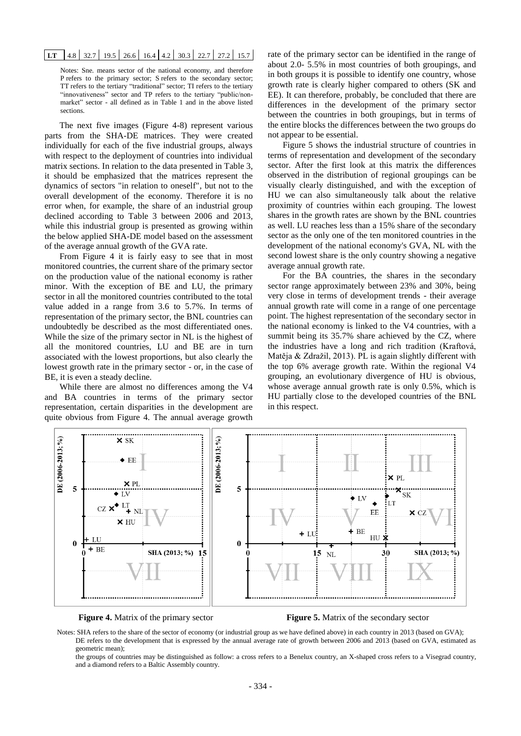## **LT** 4.8 32.7 19.5 26.6 16.4 4.2 30.3 22.7 27.2 15.7

Notes: Sne. means sector of the national economy, and therefore P refers to the primary sector; S refers to the secondary sector; TT refers to the tertiary "traditional" sector; TI refers to the tertiary "innovativeness" sector and TP refers to the tertiary "public/nonmarket" sector - all defined as in Table 1 and in the above listed sections.

The next five images (Figure 4-8) represent various parts from the SHA-DE matrices. They were created individually for each of the five industrial groups, always with respect to the deployment of countries into individual matrix sections. In relation to the data presented in Table 3, it should be emphasized that the matrices represent the dynamics of sectors "in relation to oneself", but not to the overall development of the economy. Therefore it is no error when, for example, the share of an industrial group declined according to Table 3 between 2006 and 2013, while this industrial group is presented as growing within the below applied SHA-DE model based on the assessment of the average annual growth of the GVA rate.

From Figure 4 it is fairly easy to see that in most monitored countries, the current share of the primary sector on the production value of the national economy is rather minor. With the exception of BE and LU, the primary sector in all the monitored countries contributed to the total value added in a range from 3.6 to 5.7%. In terms of representation of the primary sector, the BNL countries can undoubtedly be described as the most differentiated ones. While the size of the primary sector in NL is the highest of all the monitored countries, LU and BE are in turn associated with the lowest proportions, but also clearly the lowest growth rate in the primary sector - or, in the case of BE, it is even a steady decline.

While there are almost no differences among the V4 and BA countries in terms of the primary sector representation, certain disparities in the development are quite obvious from Figure 4. The annual average growth rate of the primary sector can be identified in the range of about 2.0- 5.5% in most countries of both groupings, and in both groups it is possible to identify one country, whose growth rate is clearly higher compared to others (SK and EE). It can therefore, probably, be concluded that there are differences in the development of the primary sector between the countries in both groupings, but in terms of the entire blocks the differences between the two groups do not appear to be essential.

Figure 5 shows the industrial structure of countries in terms of representation and development of the secondary sector. After the first look at this matrix the differences observed in the distribution of regional groupings can be visually clearly distinguished, and with the exception of HU we can also simultaneously talk about the relative proximity of countries within each grouping. The lowest shares in the growth rates are shown by the BNL countries as well. LU reaches less than a 15% share of the secondary sector as the only one of the ten monitored countries in the development of the national economy's GVA, NL with the second lowest share is the only country showing a negative average annual growth rate.

For the BA countries, the shares in the secondary sector range approximately between 23% and 30%, being very close in terms of development trends - their average annual growth rate will come in a range of one percentage point. The highest representation of the secondary sector in the national economy is linked to the V4 countries, with a summit being its 35.7% share achieved by the CZ, where the industries have a long and rich tradition (Kraftová, Matěja & Zdražil, 2013). PL is again slightly different with the top 6% average growth rate. Within the regional V4 grouping, an evolutionary divergence of HU is obvious, whose average annual growth rate is only 0.5%, which is HU partially close to the developed countries of the BNL in this respect.



**Figure 4.** Matrix of the primary sector **Figure 5.** Matrix of the secondary sector

Notes: SHA refers to the share of the sector of economy (or industrial group as we have defined above) in each country in 2013 (based on GVA); DE refers to the development that is expressed by the annual average rate of growth between 2006 and 2013 (based on GVA, estimated as geometric mean);

the groups of countries may be distinguished as follow: a cross refers to a Benelux country, an X-shaped cross refers to a Visegrad country, and a diamond refers to a Baltic Assembly country.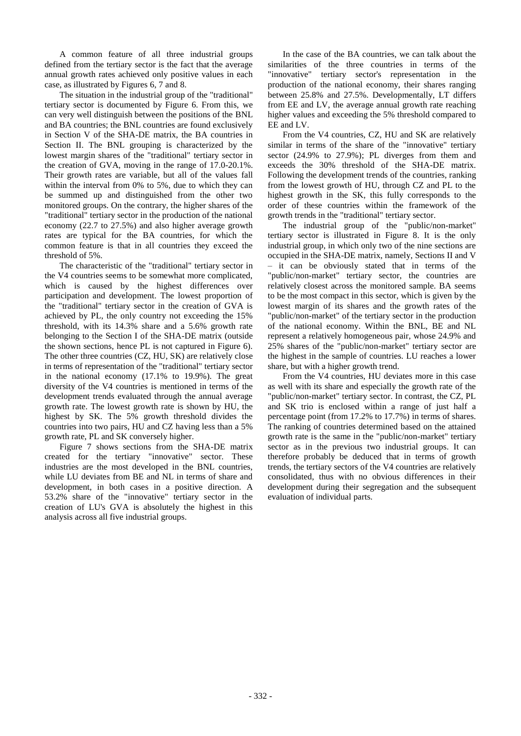A common feature of all three industrial groups defined from the tertiary sector is the fact that the average annual growth rates achieved only positive values in each case, as illustrated by Figures 6, 7 and 8.

The situation in the industrial group of the "traditional" tertiary sector is documented by Figure 6. From this, we can very well distinguish between the positions of the BNL and BA countries; the BNL countries are found exclusively in Section V of the SHA-DE matrix, the BA countries in Section II. The BNL grouping is characterized by the lowest margin shares of the "traditional" tertiary sector in the creation of GVA, moving in the range of 17.0-20.1%. Their growth rates are variable, but all of the values fall within the interval from 0% to 5%, due to which they can be summed up and distinguished from the other two monitored groups. On the contrary, the higher shares of the "traditional" tertiary sector in the production of the national economy (22.7 to 27.5%) and also higher average growth rates are typical for the BA countries, for which the common feature is that in all countries they exceed the threshold of 5%.

The characteristic of the "traditional" tertiary sector in the V4 countries seems to be somewhat more complicated, which is caused by the highest differences over participation and development. The lowest proportion of the "traditional" tertiary sector in the creation of GVA is achieved by PL, the only country not exceeding the 15% threshold, with its 14.3% share and a 5.6% growth rate belonging to the Section I of the SHA-DE matrix (outside the shown sections, hence PL is not captured in Figure 6). The other three countries (CZ, HU, SK) are relatively close in terms of representation of the "traditional" tertiary sector in the national economy (17.1% to 19.9%). The great diversity of the V4 countries is mentioned in terms of the development trends evaluated through the annual average growth rate. The lowest growth rate is shown by HU, the highest by SK. The 5% growth threshold divides the countries into two pairs, HU and CZ having less than a 5% growth rate, PL and SK conversely higher.

Figure 7 shows sections from the SHA-DE matrix created for the tertiary "innovative" sector. These industries are the most developed in the BNL countries, while LU deviates from BE and NL in terms of share and development, in both cases in a positive direction. A 53.2% share of the "innovative" tertiary sector in the creation of LU's GVA is absolutely the highest in this analysis across all five industrial groups.

In the case of the BA countries, we can talk about the similarities of the three countries in terms of the "innovative" tertiary sector's representation in the production of the national economy, their shares ranging between 25.8% and 27.5%. Developmentally, LT differs from EE and LV, the average annual growth rate reaching higher values and exceeding the 5% threshold compared to EE and LV.

From the V4 countries, CZ, HU and SK are relatively similar in terms of the share of the "innovative" tertiary sector (24.9% to 27.9%); PL diverges from them and exceeds the 30% threshold of the SHA-DE matrix. Following the development trends of the countries, ranking from the lowest growth of HU, through CZ and PL to the highest growth in the SK, this fully corresponds to the order of these countries within the framework of the growth trends in the "traditional" tertiary sector.

The industrial group of the "public/non-market" tertiary sector is illustrated in Figure 8. It is the only industrial group, in which only two of the nine sections are occupied in the SHA-DE matrix, namely, Sections II and V – it can be obviously stated that in terms of the "public/non-market" tertiary sector, the countries are relatively closest across the monitored sample. BA seems to be the most compact in this sector, which is given by the lowest margin of its shares and the growth rates of the "public/non-market" of the tertiary sector in the production of the national economy. Within the BNL, BE and NL represent a relatively homogeneous pair, whose 24.9% and 25% shares of the "public/non-market" tertiary sector are the highest in the sample of countries. LU reaches a lower share, but with a higher growth trend.

From the V4 countries, HU deviates more in this case as well with its share and especially the growth rate of the "public/non-market" tertiary sector. In contrast, the CZ, PL and SK trio is enclosed within a range of just half a percentage point (from 17.2% to 17.7%) in terms of shares. The ranking of countries determined based on the attained growth rate is the same in the "public/non-market" tertiary sector as in the previous two industrial groups. It can therefore probably be deduced that in terms of growth trends, the tertiary sectors of the V4 countries are relatively consolidated, thus with no obvious differences in their development during their segregation and the subsequent evaluation of individual parts.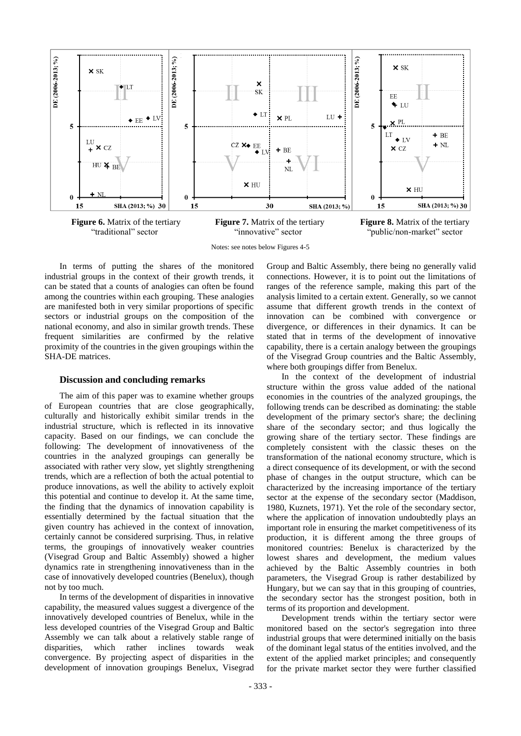

**Figure 6.** Matrix of the tertiary "traditional" sector

**Figure 7.** Matrix of the tertiary "innovative" sector

**Figure 8.** Matrix of the tertiary "public/non-market" sector

Notes: see notes below Figures 4-5

In terms of putting the shares of the monitored industrial groups in the context of their growth trends, it can be stated that a counts of analogies can often be found among the countries within each grouping. These analogies are manifested both in very similar proportions of specific sectors or industrial groups on the composition of the national economy, and also in similar growth trends. These frequent similarities are confirmed by the relative proximity of the countries in the given groupings within the SHA-DE matrices.

#### **Discussion and concluding remarks**

The aim of this paper was to examine whether groups of European countries that are close geographically, culturally and historically exhibit similar trends in the industrial structure, which is reflected in its innovative capacity. Based on our findings, we can conclude the following: The development of innovativeness of the countries in the analyzed groupings can generally be associated with rather very slow, yet slightly strengthening trends, which are a reflection of both the actual potential to produce innovations, as well the ability to actively exploit this potential and continue to develop it. At the same time, the finding that the dynamics of innovation capability is essentially determined by the factual situation that the given country has achieved in the context of innovation, certainly cannot be considered surprising. Thus, in relative terms, the groupings of innovatively weaker countries (Visegrad Group and Baltic Assembly) showed a higher dynamics rate in strengthening innovativeness than in the case of innovatively developed countries (Benelux), though not by too much.

In terms of the development of disparities in innovative capability, the measured values suggest a divergence of the innovatively developed countries of Benelux, while in the less developed countries of the Visegrad Group and Baltic Assembly we can talk about a relatively stable range of disparities, which rather inclines towards weak convergence. By projecting aspect of disparities in the development of innovation groupings Benelux, Visegrad

Group and Baltic Assembly, there being no generally valid connections. However, it is to point out the limitations of ranges of the reference sample, making this part of the analysis limited to a certain extent. Generally, so we cannot assume that different growth trends in the context of innovation can be combined with convergence or divergence, or differences in their dynamics. It can be stated that in terms of the development of innovative capability, there is a certain analogy between the groupings of the Visegrad Group countries and the Baltic Assembly, where both groupings differ from Benelux.

In the context of the development of industrial structure within the gross value added of the national economies in the countries of the analyzed groupings, the following trends can be described as dominating: the stable development of the primary sector's share; the declining share of the secondary sector; and thus logically the growing share of the tertiary sector. These findings are completely consistent with the classic theses on the transformation of the national economy structure, which is a direct consequence of its development, or with the second phase of changes in the output structure, which can be characterized by the increasing importance of the tertiary sector at the expense of the secondary sector (Maddison, 1980, Kuznets, 1971). Yet the role of the secondary sector, where the application of innovation undoubtedly plays an important role in ensuring the market competitiveness of its production, it is different among the three groups of monitored countries: Benelux is characterized by the lowest shares and development, the medium values achieved by the Baltic Assembly countries in both parameters, the Visegrad Group is rather destabilized by Hungary, but we can say that in this grouping of countries, the secondary sector has the strongest position, both in terms of its proportion and development.

Development trends within the tertiary sector were monitored based on the sector's segregation into three industrial groups that were determined initially on the basis of the dominant legal status of the entities involved, and the extent of the applied market principles; and consequently for the private market sector they were further classified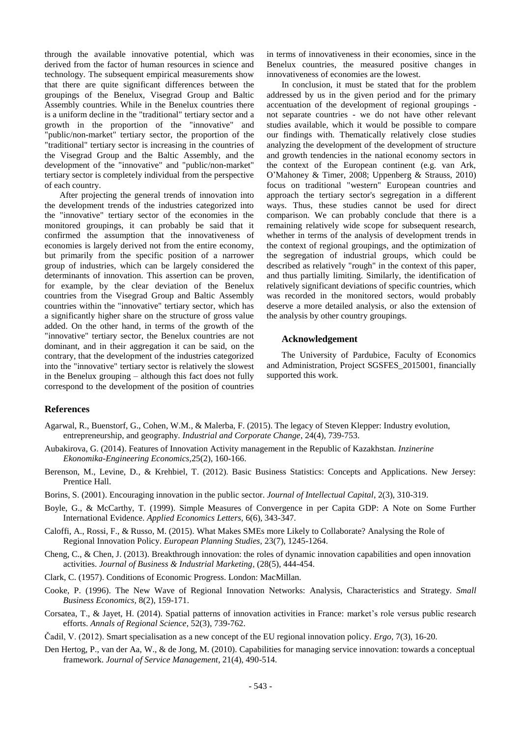through the available innovative potential, which was derived from the factor of human resources in science and technology. The subsequent empirical measurements show that there are quite significant differences between the groupings of the Benelux, Visegrad Group and Baltic Assembly countries. While in the Benelux countries there is a uniform decline in the "traditional" tertiary sector and a growth in the proportion of the "innovative" and "public/non-market" tertiary sector, the proportion of the "traditional" tertiary sector is increasing in the countries of the Visegrad Group and the Baltic Assembly, and the development of the "innovative" and "public/non-market" tertiary sector is completely individual from the perspective of each country.

After projecting the general trends of innovation into the development trends of the industries categorized into the "innovative" tertiary sector of the economies in the monitored groupings, it can probably be said that it confirmed the assumption that the innovativeness of economies is largely derived not from the entire economy, but primarily from the specific position of a narrower group of industries, which can be largely considered the determinants of innovation. This assertion can be proven, for example, by the clear deviation of the Benelux countries from the Visegrad Group and Baltic Assembly countries within the "innovative" tertiary sector, which has a significantly higher share on the structure of gross value added. On the other hand, in terms of the growth of the "innovative" tertiary sector, the Benelux countries are not dominant, and in their aggregation it can be said, on the contrary, that the development of the industries categorized into the "innovative" tertiary sector is relatively the slowest in the Benelux grouping – although this fact does not fully correspond to the development of the position of countries in terms of innovativeness in their economies, since in the Benelux countries, the measured positive changes in innovativeness of economies are the lowest.

In conclusion, it must be stated that for the problem addressed by us in the given period and for the primary accentuation of the development of regional groupings not separate countries - we do not have other relevant studies available, which it would be possible to compare our findings with. Thematically relatively close studies analyzing the development of the development of structure and growth tendencies in the national economy sectors in the context of the European continent (e.g. van Ark, O'Mahoney & Timer, 2008; Uppenberg & Strauss, 2010) focus on traditional "western" European countries and approach the tertiary sector's segregation in a different ways. Thus, these studies cannot be used for direct comparison. We can probably conclude that there is a remaining relatively wide scope for subsequent research, whether in terms of the analysis of development trends in the context of regional groupings, and the optimization of the segregation of industrial groups, which could be described as relatively "rough" in the context of this paper, and thus partially limiting. Similarly, the identification of relatively significant deviations of specific countries, which was recorded in the monitored sectors, would probably deserve a more detailed analysis, or also the extension of the analysis by other country groupings.

### **Acknowledgement**

The University of Pardubice, Faculty of Economics and Administration, Project SGSFES\_2015001, financially supported this work.

### **References**

- Agarwal, R., Buenstorf, G., Cohen, W.M., & Malerba, F. (2015). The legacy of Steven Klepper: Industry evolution, entrepreneurship, and geography. *Industrial and Corporate Change*, 24(4), 739-753.
- Aubakirova, G. (2014). Features of Innovation Activity management in the Republic of Kazakhstan. *Inzinerine Ekonomika-Engineering Economics,*25(2), 160-166.
- Berenson, M., Levine, D., & Krehbiel, T. (2012). Basic Business Statistics: Concepts and Applications. New Jersey: Prentice Hall.
- Borins, S. (2001). Encouraging innovation in the public sector. *Journal of Intellectual Capital*, 2(3), 310-319.
- Boyle, G., & McCarthy, T. (1999). Simple Measures of Convergence in per Capita GDP: A Note on Some Further International Evidence. *Applied Economics Letters,* 6(6), 343-347.
- Caloffi, A., Rossi, F., & Russo, M. (2015). What Makes SMEs more Likely to Collaborate? Analysing the Role of Regional Innovation Policy. *European Planning Studies,* 23(7), 1245-1264.
- Cheng, C., & Chen, J. (2013). Breakthrough innovation: the roles of dynamic innovation capabilities and open innovation activities. *Journal of Business & Industrial Marketing,* (28(5), 444-454.
- Clark, C. (1957). Conditions of Economic Progress. London: MacMillan.
- Cooke, P. (1996). The New Wave of Regional Innovation Networks: Analysis, Characteristics and Strategy. *Small Business Economics,* 8(2), 159-171.
- Corsatea, T., & Jayet, H. (2014). Spatial patterns of innovation activities in France: market's role versus public research efforts. *Annals of Regional Science*, 52(3), 739-762.
- Čadil, V. (2012). Smart specialisation as a new concept of the EU regional innovation policy. *Ergo,* 7(3), 16-20.
- Den Hertog, P., van der Aa, W., & de Jong, M. (2010). Capabilities for managing service innovation: towards a conceptual framework. *Journal of Service Management*, 21(4), 490-514.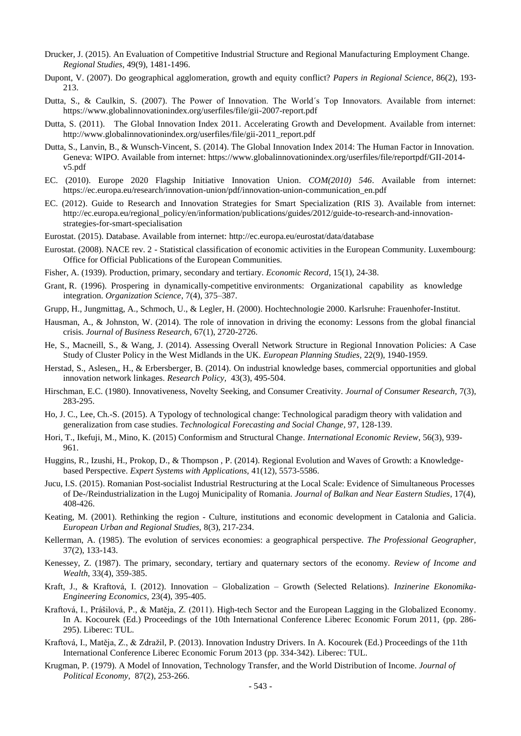- Drucker, J. (2015). An Evaluation of Competitive Industrial Structure and Regional Manufacturing Employment Change. *Regional Studies*, 49(9), 1481-1496.
- Dupont, V. (2007). Do geographical agglomeration, growth and equity conflict? *Papers in Regional Science*, 86(2), 193- 213.
- Dutta, S., & Caulkin, S. (2007). The Power of Innovation. The World's Top Innovators. Available from internet: <https://www.globalinnovationindex.org/userfiles/file/gii-2007-report.pdf>
- Dutta, S. (2011). The Global Innovation Index 2011. Accelerating Growth and Development. Available from internet: http://www.globalinnovationindex.org/userfiles/file/gii-2011\_report.pdf
- Dutta, S., Lanvin, B., & Wunsch-Vincent, S. (2014). The Global Innovation Index 2014: The Human Factor in Innovation. Geneva: WIPO. Available from internet: https://www.globalinnovationindex.org/userfiles/file/reportpdf/GII-2014 v5.pdf
- EC. (2010). Europe 2020 Flagship Initiative Innovation Union. *COM(2010) 546*. Available from internet: https://ec.europa.eu/research/innovation-union/pdf/innovation-union-communication\_en.pdf
- EC. (2012). Guide to Research and Innovation Strategies for Smart Specialization (RIS 3). Available from internet: [http://ec.europa.eu/regional\\_policy/en/information/publications/guides/2012/guide-to-research-and-innovation](http://ec.europa.eu/regional_policy/en/information/publications/guides/2012/guide-to-research-and-innovation-strategies-for-smart-specialisation)[strategies-for-smart-specialisation](http://ec.europa.eu/regional_policy/en/information/publications/guides/2012/guide-to-research-and-innovation-strategies-for-smart-specialisation)
- Eurostat. (2015). Database. Available from internet: http://ec.europa.eu/eurostat/data/database
- Eurostat. (2008). NACE rev. 2 Statistical classification of economic activities in the European Community. Luxembourg: Office for Official Publications of the European Communities.
- Fisher, A. (1939). Production, primary, secondary and tertiary. *Economic Record*, 15(1), 24-38.
- Grant, R. (1996). Prospering in dynamically-competitive environments: Organizational capability as knowledge integration. *Organization Science*, 7(4), 375–387.
- Grupp, H., Jungmittag, A., Schmoch, U., & Legler, H. (2000). Hochtechnologie 2000. Karlsruhe: Frauenhofer-Institut.
- Hausman, A., & Johnston, W. (2014). The role of innovation in driving the economy: Lessons from the global financial crisis. *Journal of Business Research,* 67(1), 2720-2726.
- He, S., Macneill, S., & Wang, J. (2014). Assessing Overall Network Structure in Regional Innovation Policies: A Case Study of Cluster Policy in the West Midlands in the UK. *European Planning Studies,* 22(9), 1940-1959.
- Herstad, S., Aslesen,, H., & Erbersberger, B. (2014). On industrial knowledge bases, commercial opportunities and global innovation network linkages. *Research Policy,* 43(3), 495-504.
- Hirschman, E.C. (1980). Innovativeness, Novelty Seeking, and Consumer Creativity. *Journal of Consumer Research,* 7(3), 283-295.
- Ho, J. C., Lee, Ch.-S. (2015). A Typology of technological change: Technological paradigm theory with validation and generalization from case studies. *Technological Forecasting and Social Change*, 97, 128-139.
- Hori, T., Ikefuji, M., Mino, K. (2015) Conformism and Structural Change*. International Economic Review*, 56(3), 939- 961.
- Huggins, R., Izushi, H., Prokop, D., & Thompson , P. (2014). Regional Evolution and Waves of Growth: a Knowledgebased Perspective. *Expert Systems with Applications,* 41(12), 5573-5586.
- Jucu, I.S. (2015). Romanian Post-socialist Industrial Restructuring at the Local Scale: Evidence of Simultaneous Processes of De-/Reindustrialization in the Lugoj Municipality of Romania. *Journal of Balkan and Near Eastern Studies*, 17(4), 408-426.
- Keating, M. (2001). Rethinking the region Culture, institutions and economic development in Catalonia and Galicia. *European Urban and Regional Studies,* 8(3), 217-234.
- Kellerman, A. (1985). The evolution of services economies: a geographical perspective. *The Professional Geographer,* 37(2), 133-143.
- Kenessey, Z. (1987). The primary, secondary, tertiary and quaternary sectors of the economy. *Review of Income and Wealth*, 33(4), 359-385.
- Kraft, J., & Kraftová, I. (2012). Innovation Globalization Growth (Selected Relations). *Inzinerine Ekonomika-Engineering Economics,* 23(4), 395-405.
- Kraftová, I., Prášilová, P., & Matěja, Z. (2011). High-tech Sector and the European Lagging in the Globalized Economy. In A. Kocourek (Ed.) Proceedings of the 10th International Conference Liberec Economic Forum 2011, (pp. 286- 295). Liberec: TUL.
- Kraftová, I., Matěja, Z., & Zdražil, P. (2013). Innovation Industry Drivers. In A. Kocourek (Ed.) Proceedings of the 11th International Conference Liberec Economic Forum 2013 (pp. 334-342). Liberec: TUL.
- Krugman, P. (1979). A Model of Innovation, Technology Transfer, and the World Distribution of Income. *Journal of Political Economy,* 87(2), 253-266.